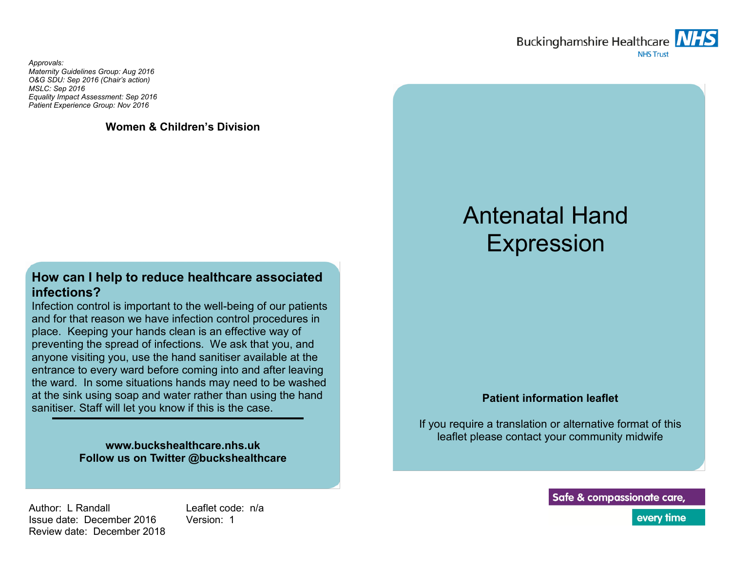

*Approvals: Maternity Guidelines Group: Aug 2016 O&G SDU: Sep 2016 (Chair's action) MSLC: Sep 2016 Equality Impact Assessment: Sep 2016 Patient Experience Group: Nov 2016*

**Women & Children's Division**

## **How can I help to reduce healthcare associated infections?**

Infection control is important to the well-being of our patients and for that reason we have infection control procedures in place. Keeping your hands clean is an effective way of preventing the spread of infections. We ask that you, and anyone visiting you, use the hand sanitiser available at the entrance to every ward before coming into and after leaving the ward. In some situations hands may need to be washed at the sink using soap and water rather than using the hand sanitiser. Staff will let you know if this is the case.

> **www.buckshealthcare.nhs.uk Follow us on Twitter @buckshealthcare**

# Antenatal Hand Expression

#### **Patient information leaflet**

If you require a translation or alternative format of this leaflet please contact your community midwife

Author: L Randall Issue date: December 2016 Review date: December 2018 Leaflet code: n/a Version: 1

Safe & compassionate care,

every time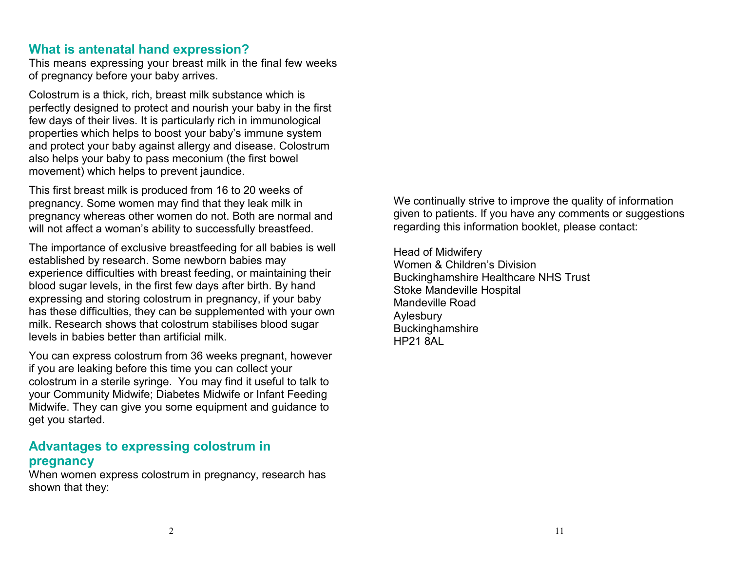#### **What is antenatal hand expression?**

This means expressing your breast milk in the final few weeks of pregnancy before your baby arrives.

Colostrum is a thick, rich, breast milk substance which is perfectly designed to protect and nourish your baby in the first few days of their lives. It is particularly rich in immunological properties which helps to boost your baby's immune system and protect your baby against allergy and disease. Colostrum also helps your baby to pass meconium (the first bowel movement) which helps to prevent jaundice.

This first breast milk is produced from 16 to 20 weeks of pregnancy. Some women may find that they leak milk in pregnancy whereas other women do not. Both are normal and will not affect a woman's ability to successfully breastfeed.

The importance of exclusive breastfeeding for all babies is well established by research. Some newborn babies may experience difficulties with breast feeding, or maintaining their blood sugar levels, in the first few days after birth. By hand expressing and storing colostrum in pregnancy, if your baby has these difficulties, they can be supplemented with your own milk. Research shows that colostrum stabilises blood sugar levels in babies better than artificial milk.

You can express colostrum from 36 weeks pregnant, however if you are leaking before this time you can collect your colostrum in a sterile syringe. You may find it useful to talk to your Community Midwife; Diabetes Midwife or Infant Feeding Midwife. They can give you some equipment and guidance to get you started.

## **Advantages to expressing colostrum in pregnancy**

When women express colostrum in pregnancy, research has shown that they:

We continually strive to improve the quality of information given to patients. If you have any comments or suggestions regarding this information booklet, please contact:

Head of Midwifery Women & Children's Division Buckinghamshire Healthcare NHS Trust Stoke Mandeville Hospital Mandeville Road Aylesbury **Buckinghamshire** HP21 8AL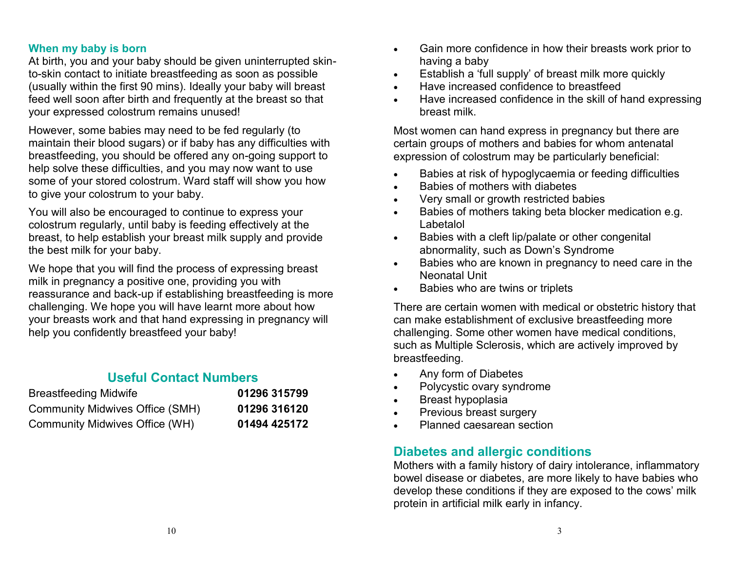#### **When my baby is born**

At birth, you and your baby should be given uninterrupted skinto-skin contact to initiate breastfeeding as soon as possible (usually within the first 90 mins). Ideally your baby will breast feed well soon after birth and frequently at the breast so that your expressed colostrum remains unused!

However, some babies may need to be fed regularly (to maintain their blood sugars) or if baby has any difficulties with breastfeeding, you should be offered any on-going support to help solve these difficulties, and you may now want to use some of your stored colostrum. Ward staff will show you how to give your colostrum to your baby.

You will also be encouraged to continue to express your colostrum regularly, until baby is feeding effectively at the breast, to help establish your breast milk supply and provide the best milk for your baby.

We hope that you will find the process of expressing breast milk in pregnancy a positive one, providing you with reassurance and back-up if establishing breastfeeding is more challenging. We hope you will have learnt more about how your breasts work and that hand expressing in pregnancy will help you confidently breastfeed your baby!

## **Useful Contact Numbers**

| <b>Breastfeeding Midwife</b>           | 01296 315799 |
|----------------------------------------|--------------|
| <b>Community Midwives Office (SMH)</b> | 01296 316120 |
| Community Midwives Office (WH)         | 01494 425172 |

- Gain more confidence in how their breasts work prior to having a baby
- Establish a 'full supply' of breast milk more quickly
- Have increased confidence to breastfeed
- Have increased confidence in the skill of hand expressing breast milk.

Most women can hand express in pregnancy but there are certain groups of mothers and babies for whom antenatal expression of colostrum may be particularly beneficial:

- Babies at risk of hypoglycaemia or feeding difficulties
- Babies of mothers with diabetes
- Very small or growth restricted babies
- Babies of mothers taking beta blocker medication e.g. Labetalol
- Babies with a cleft lip/palate or other congenital abnormality, such as Down's Syndrome
- **Babies who are known in pregnancy to need care in the** Neonatal Unit
- Babies who are twins or triplets

There are certain women with medical or obstetric history that can make establishment of exclusive breastfeeding more challenging. Some other women have medical conditions, such as Multiple Sclerosis, which are actively improved by breastfeeding.

- Any form of Diabetes
- Polycystic ovary syndrome
- Breast hypoplasia
- Previous breast surgery
- Planned caesarean section

## **Diabetes and allergic conditions**

Mothers with a family history of dairy intolerance, inflammatory bowel disease or diabetes, are more likely to have babies who develop these conditions if they are exposed to the cows' milk protein in artificial milk early in infancy.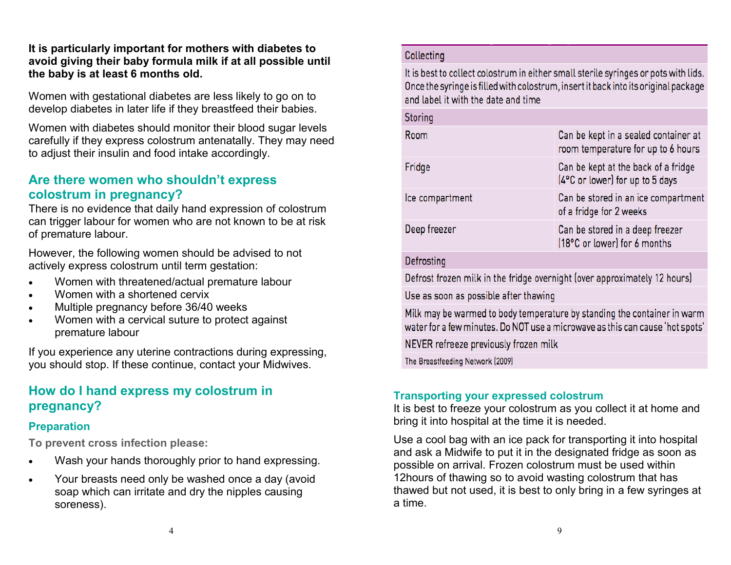#### **It is particularly important for mothers with diabetes to avoid giving their baby formula milk if at all possible until the baby is at least 6 months old.**

Women with gestational diabetes are less likely to go on to develop diabetes in later life if they breastfeed their babies.

Women with diabetes should monitor their blood sugar levels carefully if they express colostrum antenatally. They may need to adjust their insulin and food intake accordingly.

## **Are there women who shouldn't express colostrum in pregnancy?**

There is no evidence that daily hand expression of colostrum can trigger labour for women who are not known to be at risk of premature labour.

However, the following women should be advised to not actively express colostrum until term gestation:

- Women with threatened/actual premature labour
- Women with a shortened cervix
- Multiple pregnancy before 36/40 weeks
- Women with a cervical suture to protect against premature labour

If you experience any uterine contractions during expressing, you should stop. If these continue, contact your Midwives.

## **How do I hand express my colostrum in pregnancy?**

### **Preparation**

**To prevent cross infection please:**

- Wash your hands thoroughly prior to hand expressing.
- Your breasts need only be washed once a day (avoid soap which can irritate and dry the nipples causing soreness).

#### Collecting

It is best to collect colostrum in either small sterile syringes or pots with lids. Once the syringe is filled with colostrum, insert it back into its original package and label it with the date and time

| Storing         |                                                                            |
|-----------------|----------------------------------------------------------------------------|
| Room            | Can be kept in a sealed container at<br>room temperature for up to 6 hours |
| Fridge          | Can be kept at the back of a fridge<br>[4°C or lower] for up to 5 days     |
| Ice compartment | Can be stored in an ice compartment<br>of a fridge for 2 weeks             |
| Deep freezer    | Can be stored in a deep freezer<br>[18°C or lower] for 6 months            |
|                 |                                                                            |

#### Defrosting

Defrost frozen milk in the fridge overnight (over approximately 12 hours)

Use as soon as possible after thawing

Milk may be warmed to body temperature by standing the container in warm water for a few minutes. Do NOT use a microwave as this can cause 'hot spots'

NEVER refreeze previously frozen milk

The Breastfeeding Network (2009)

## **Transporting your expressed colostrum**

It is best to freeze your colostrum as you collect it at home and bring it into hospital at the time it is needed.

Use a cool bag with an ice pack for transporting it into hospital and ask a Midwife to put it in the designated fridge as soon as possible on arrival. Frozen colostrum must be used within 12hours of thawing so to avoid wasting colostrum that has thawed but not used, it is best to only bring in a few syringes at a time.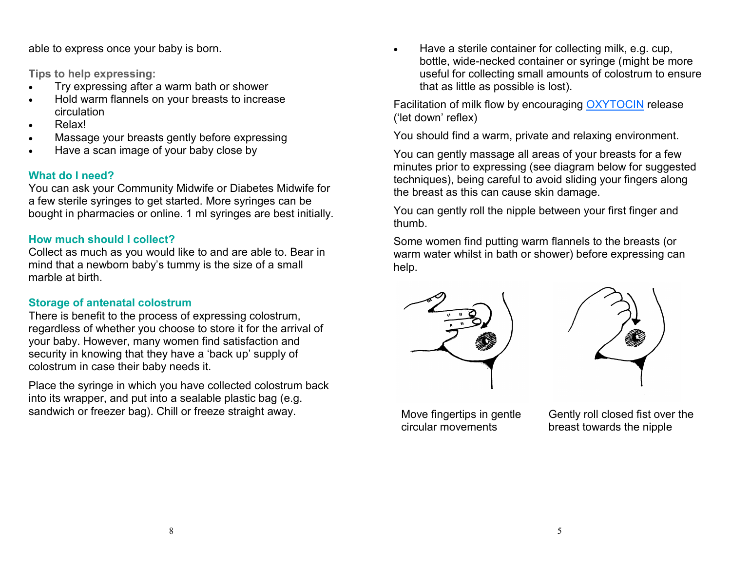able to express once your baby is born.

**Tips to help expressing:**

- Try expressing after a warm bath or shower
- Hold warm flannels on your breasts to increase circulation
- Relax!
- Massage your breasts gently before expressing
- Have a scan image of your baby close by

## **What do I need?**

You can ask your Community Midwife or Diabetes Midwife for a few sterile syringes to get started. More syringes can be bought in pharmacies or online. 1 ml syringes are best initially.

## **How much should I collect?**

Collect as much as you would like to and are able to. Bear in mind that a newborn baby's tummy is the size of a small marble at birth.

## **Storage of antenatal colostrum**

There is benefit to the process of expressing colostrum, regardless of whether you choose to store it for the arrival of your baby. However, many women find satisfaction and security in knowing that they have a 'back up' supply of colostrum in case their baby needs it.

Place the syringe in which you have collected colostrum back into its wrapper, and put into a sealable plastic bag (e.g. sandwich or freezer bag). Chill or freeze straight away.

 Have a sterile container for collecting milk, e.g. cup, bottle, wide-necked container or syringe (might be more useful for collecting small amounts of colostrum to ensure that as little as possible is lost).

Facilitation of milk flow by encouraging OXYTOCIN release ('let down' reflex)

You should find a warm, private and relaxing environment.

You can gently massage all areas of your breasts for a few minutes prior to expressing (see diagram below for suggested techniques), being careful to avoid sliding your fingers along the breast as this can cause skin damage.

You can gently roll the nipple between your first finger and thumb.

Some women find putting warm flannels to the breasts (or warm water whilst in bath or shower) before expressing can help.





Move fingertips in gentle circular movements

Gently roll closed fist over the breast towards the nipple